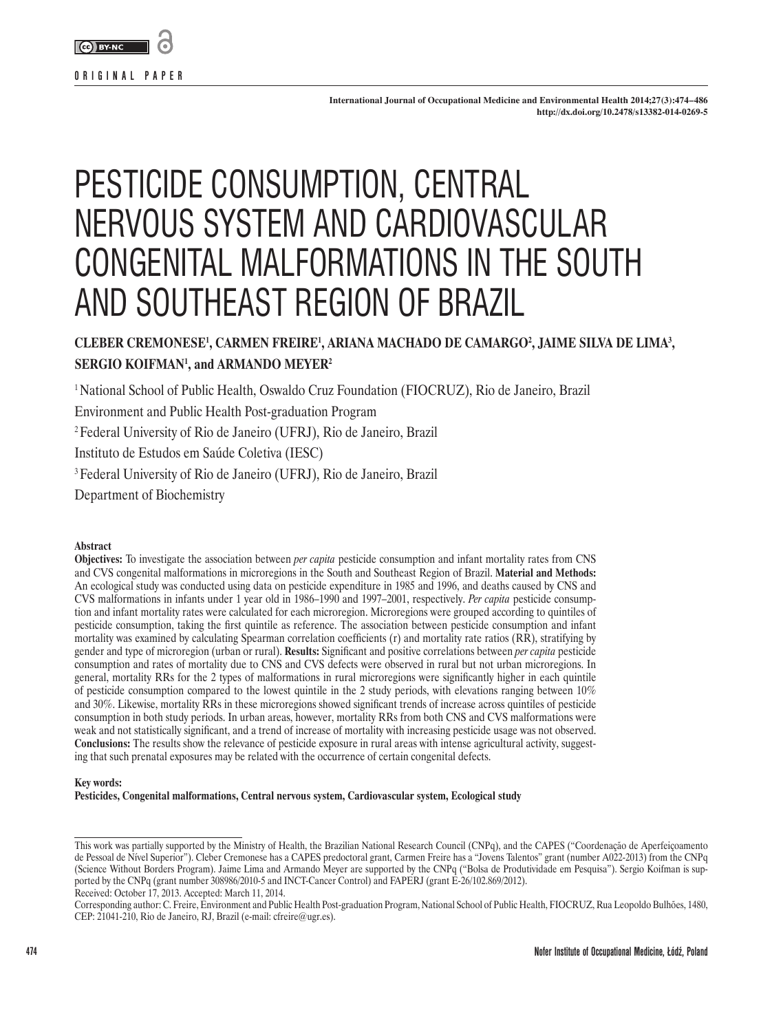

**International Journal of Occupational Medicine and Environmental Health 2014;27(3):474–486 http://dx.doi.org/10.2478/s13382-014-0269-5**

# PESTICIDE CONSUMPTION, CENTRAL NERVOUS SYSTEM AND CARDIOVASCULAR CONGENITAL MALFORMATIONS IN THE SOUTH AND SOUTHEAST REGION OF BRAZIL

## **CLEBER CREMONESE1 , CARMEN FREIRE1 , ARIANA MACHADO DE CAMARGO2 , JAIME SILVA DE LIMA3 , SERGIO KOIFMAN1 , and ARMANDO MEYER2**

1 National School of Public Health, Oswaldo Cruz Foundation (FIOCRUZ), Rio de Janeiro, Brazil

Environment and Public Health Post-graduation Program

2 Federal University of Rio de Janeiro (UFRJ), Rio de Janeiro, Brazil

Instituto de Estudos em Saúde Coletiva (IESC)

3 Federal University of Rio de Janeiro (UFRJ), Rio de Janeiro, Brazil

Department of Biochemistry

#### **Abstract**

**Objectives:** To investigate the association between *per capita* pesticide consumption and infant mortality rates from CNS and CVS congenital malformations in microregions in the South and Southeast Region of Brazil. **Material and Methods:** An ecological study was conducted using data on pesticide expenditure in 1985 and 1996, and deaths caused by CNS and CVS malformations in infants under 1 year old in 1986–1990 and 1997–2001, respectively. *Per capita* pesticide consumption and infant mortality rates were calculated for each microregion. Microregions were grouped according to quintiles of pesticide consumption, taking the first quintile as reference. The association between pesticide consumption and infant mortality was examined by calculating Spearman correlation coefficients (r) and mortality rate ratios (RR), stratifying by gender and type of microregion (urban or rural). **Results:** Significant and positive correlations between *per capita* pesticide consumption and rates of mortality due to CNS and CVS defects were observed in rural but not urban microregions. In general, mortality RRs for the 2 types of malformations in rural microregions were significantly higher in each quintile of pesticide consumption compared to the lowest quintile in the 2 study periods, with elevations ranging between 10% and 30%. Likewise, mortality RRs in these microregions showed significant trends of increase across quintiles of pesticide consumption in both study periods. In urban areas, however, mortality RRs from both CNS and CVS malformations were weak and not statistically significant, and a trend of increase of mortality with increasing pesticide usage was not observed. **Conclusions:** The results show the relevance of pesticide exposure in rural areas with intense agricultural activity, suggesting that such prenatal exposures may be related with the occurrence of certain congenital defects.

#### **Key words:**

**Pesticides, Congenital malformations, Central nervous system, Cardiovascular system, Ecological study**

This work was partially supported by the Ministry of Health, the Brazilian National Research Council (CNPq), and the CAPES ("Coordenação de Aperfeiçoamento de Pessoal de Nível Superior"). Cleber Cremonese has a CAPES predoctoral grant, Carmen Freire has a "Jovens Talentos" grant (number A022-2013) from the CNPq (Science Without Borders Program). Jaime Lima and Armando Meyer are supported by the CNPq ("Bolsa de Produtividade em Pesquisa"). Sergio Koifman is supported by the CNPq (grant number 308986/2010-5 and INCT-Cancer Control) and FAPERJ (grant E-26/102.869/2012). Received: October 17, 2013. Accepted: March 11, 2014.

Corresponding author: C. Freire, Environment and Public Health Post-graduation Program, National School of Public Health, FIOCRUZ, Rua Leopoldo Bulhões, 1480, CEP: 21041-210, Rio de Janeiro, RJ, Brazil (e-mail: cfreire@ugr.es).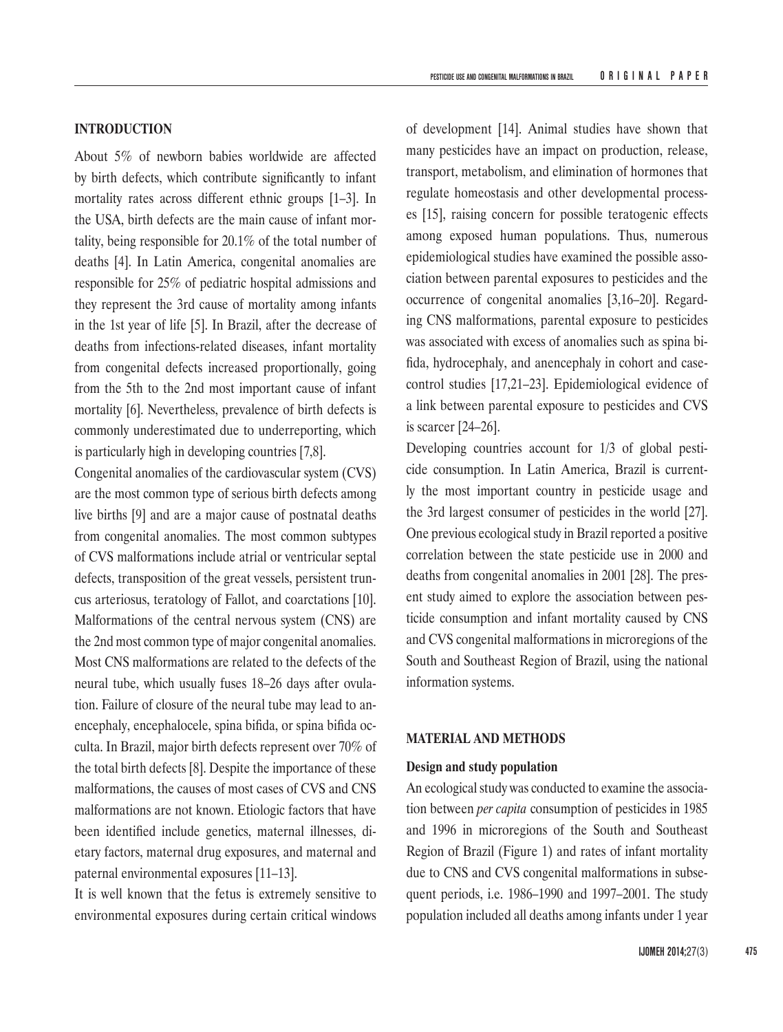About 5% of newborn babies worldwide are affected by birth defects, which contribute significantly to infant mortality rates across different ethnic groups [1–3]. In the USA, birth defects are the main cause of infant mortality, being responsible for 20.1% of the total number of deaths [4]. In Latin America, congenital anomalies are responsible for 25% of pediatric hospital admissions and they represent the 3rd cause of mortality among infants in the 1st year of life [5]. In Brazil, after the decrease of deaths from infections-related diseases, infant mortality from congenital defects increased proportionally, going from the 5th to the 2nd most important cause of infant mortality [6]. Nevertheless, prevalence of birth defects is commonly underestimated due to underreporting, which is particularly high in developing countries [7,8].

Congenital anomalies of the cardiovascular system (CVS) are the most common type of serious birth defects among live births [9] and are a major cause of postnatal deaths from congenital anomalies. The most common subtypes of CVS malformations include atrial or ventricular septal defects, transposition of the great vessels, persistent truncus arteriosus, teratology of Fallot, and coarctations [10]. Malformations of the central nervous system (CNS) are the 2nd most common type of major congenital anomalies. Most CNS malformations are related to the defects of the neural tube, which usually fuses 18–26 days after ovulation. Failure of closure of the neural tube may lead to anencephaly, encephalocele, spina bifida, or spina bifida occulta. In Brazil, major birth defects represent over 70% of the total birth defects [8]. Despite the importance of these malformations, the causes of most cases of CVS and CNS malformations are not known. Etiologic factors that have been identified include genetics, maternal illnesses, dietary factors, maternal drug exposures, and maternal and paternal environmental exposures [11–13].

It is well known that the fetus is extremely sensitive to environmental exposures during certain critical windows of development [14]. Animal studies have shown that many pesticides have an impact on production, release, transport, metabolism, and elimination of hormones that regulate homeostasis and other developmental processes [15], raising concern for possible teratogenic effects among exposed human populations. Thus, numerous epidemiological studies have examined the possible association between parental exposures to pesticides and the occurrence of congenital anomalies [3,16–20]. Regarding CNS malformations, parental exposure to pesticides was associated with excess of anomalies such as spina bifida, hydrocephaly, and anencephaly in cohort and casecontrol studies [17,21–23]. Epidemiological evidence of a link between parental exposure to pesticides and CVS is scarcer [24–26].

Developing countries account for 1/3 of global pesticide consumption. In Latin America, Brazil is currently the most important country in pesticide usage and the 3rd largest consumer of pesticides in the world [27]. One previous ecological study in Brazil reported a positive correlation between the state pesticide use in 2000 and deaths from congenital anomalies in 2001 [28]. The present study aimed to explore the association between pesticide consumption and infant mortality caused by CNS and CVS congenital malformations in microregions of the South and Southeast Region of Brazil, using the national information systems.

## **MATERIAL AND METHODS**

#### **Design and study population**

An ecological study was conducted to examine the association between *per capita* consumption of pesticides in 1985 and 1996 in microregions of the South and Southeast Region of Brazil (Figure 1) and rates of infant mortality due to CNS and CVS congenital malformations in subsequent periods, i.e. 1986–1990 and 1997–2001. The study population included all deaths among infants under 1 year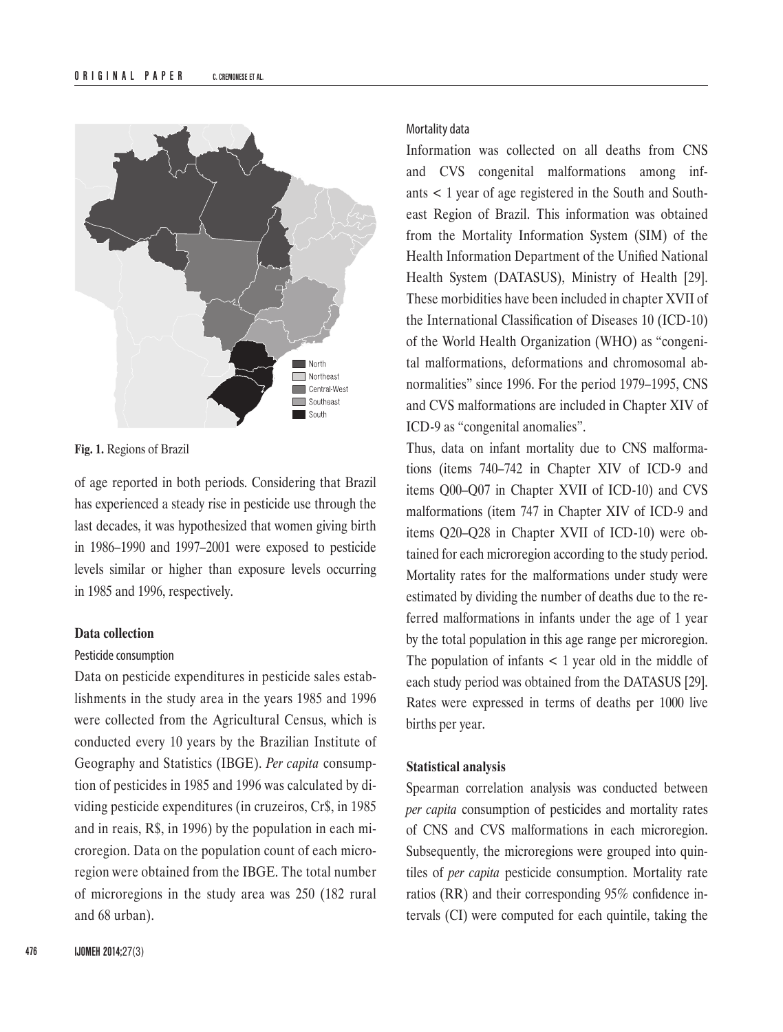

**Fig. 1.** Regions of Brazil

of age reported in both periods. Considering that Brazil has experienced a steady rise in pesticide use through the last decades, it was hypothesized that women giving birth in 1986–1990 and 1997–2001 were exposed to pesticide levels similar or higher than exposure levels occurring in 1985 and 1996, respectively.

## **Data collection**

#### Pesticide consumption

Data on pesticide expenditures in pesticide sales establishments in the study area in the years 1985 and 1996 were collected from the Agricultural Census, which is conducted every 10 years by the Brazilian Institute of Geography and Statistics (IBGE). *Per capita* consumption of pesticides in 1985 and 1996 was calculated by dividing pesticide expenditures (in cruzeiros, Cr\$, in 1985 and in reais, R\$, in 1996) by the population in each microregion. Data on the population count of each microregion were obtained from the IBGE. The total number of microregions in the study area was 250 (182 rural and 68 urban).

#### Mortality data

Information was collected on all deaths from CNS and CVS congenital malformations among infants < 1 year of age registered in the South and Southeast Region of Brazil. This information was obtained from the Mortality Information System (SIM) of the Health Information Department of the Unified National Health System (DATASUS), Ministry of Health [29]. These morbidities have been included in chapter XVII of the International Classification of Diseases 10 (ICD-10) of the World Health Organization (WHO) as "congenital malformations, deformations and chromosomal abnormalities" since 1996. For the period 1979–1995, CNS and CVS malformations are included in Chapter XIV of ICD-9 as "congenital anomalies".

Thus, data on infant mortality due to CNS malformations (items 740–742 in Chapter XIV of ICD-9 and items Q00–Q07 in Chapter XVII of ICD-10) and CVS malformations (item 747 in Chapter XIV of ICD-9 and items Q20–Q28 in Chapter XVII of ICD-10) were obtained for each microregion according to the study period. Mortality rates for the malformations under study were estimated by dividing the number of deaths due to the referred malformations in infants under the age of 1 year by the total population in this age range per microregion. The population of infants  $\lt$  1 year old in the middle of each study period was obtained from the DATASUS [29]. Rates were expressed in terms of deaths per 1000 live births per year.

#### **Statistical analysis**

Spearman correlation analysis was conducted between *per capita* consumption of pesticides and mortality rates of CNS and CVS malformations in each microregion. Subsequently, the microregions were grouped into quintiles of *per capita* pesticide consumption. Mortality rate ratios (RR) and their corresponding 95% confidence intervals (CI) were computed for each quintile, taking the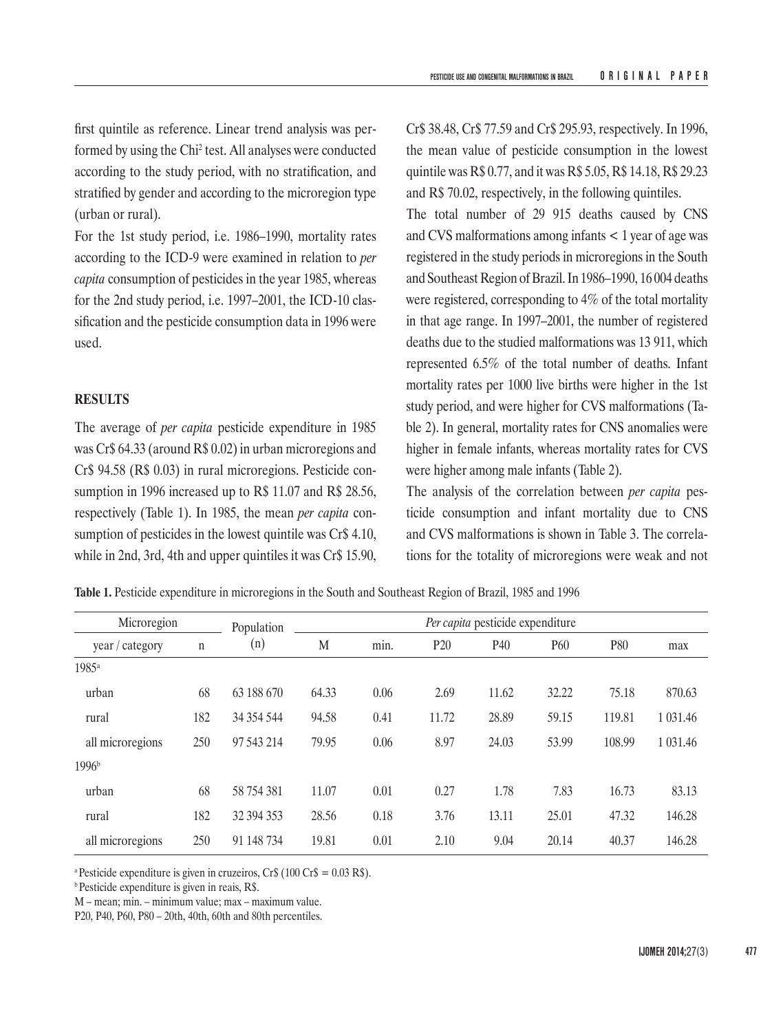first quintile as reference. Linear trend analysis was performed by using the Chi2 test. All analyses were conducted according to the study period, with no stratification, and stratified by gender and according to the microregion type (urban or rural).

For the 1st study period, i.e. 1986–1990, mortality rates according to the ICD-9 were examined in relation to *per capita* consumption of pesticides in the year 1985, whereas for the 2nd study period, i.e. 1997–2001, the ICD-10 classification and the pesticide consumption data in 1996 were used.

## **RESULTS**

The average of *per capita* pesticide expenditure in 1985 was Cr\$ 64.33 (around R\$ 0.02) in urban microregions and Cr\$ 94.58 (R\$ 0.03) in rural microregions. Pesticide consumption in 1996 increased up to R\$ 11.07 and R\$ 28.56, respectively (Table 1). In 1985, the mean *per capita* consumption of pesticides in the lowest quintile was Cr\$ 4.10, while in 2nd, 3rd, 4th and upper quintiles it was Cr\$ 15.90, Cr\$ 38.48, Cr\$ 77.59 and Cr\$ 295.93, respectively. In 1996, the mean value of pesticide consumption in the lowest quintile was R\$ 0.77, and it was R\$ 5.05, R\$ 14.18, R\$ 29.23 and R\$ 70.02, respectively, in the following quintiles.

The total number of 29 915 deaths caused by CNS and CVS malformations among infants < 1 year of age was registered in the study periods in microregions in the South and Southeast Region of Brazil. In 1986–1990, 16 004 deaths were registered, corresponding to 4% of the total mortality in that age range. In 1997–2001, the number of registered deaths due to the studied malformations was 13 911, which represented 6.5% of the total number of deaths. Infant mortality rates per 1000 live births were higher in the 1st study period, and were higher for CVS malformations (Table 2). In general, mortality rates for CNS anomalies were higher in female infants, whereas mortality rates for CVS were higher among male infants (Table 2).

The analysis of the correlation between *per capita* pesticide consumption and infant mortality due to CNS and CVS malformations is shown in Table 3. The correlations for the totality of microregions were weak and not

**Table 1.** Pesticide expenditure in microregions in the South and Southeast Region of Brazil, 1985 and 1996

| Microregion       |     | Population |       |      |                 | Per capita pesticide expenditure |       |        |               |
|-------------------|-----|------------|-------|------|-----------------|----------------------------------|-------|--------|---------------|
| year / category   | n   | (n)        | M     | min. | P <sub>20</sub> | P40                              | P60   | P80    | max           |
| 1985 <sup>a</sup> |     |            |       |      |                 |                                  |       |        |               |
| urban             | 68  | 63 188 670 | 64.33 | 0.06 | 2.69            | 11.62                            | 32.22 | 75.18  | 870.63        |
| rural             | 182 | 34 354 544 | 94.58 | 0.41 | 11.72           | 28.89                            | 59.15 | 119.81 | 1 0 3 1 . 4 6 |
| all microregions  | 250 | 97 543 214 | 79.95 | 0.06 | 8.97            | 24.03                            | 53.99 | 108.99 | 1 0 3 1 . 4 6 |
| 1996 <sup>b</sup> |     |            |       |      |                 |                                  |       |        |               |
| urban             | 68  | 58 754 381 | 11.07 | 0.01 | 0.27            | 1.78                             | 7.83  | 16.73  | 83.13         |
| rural             | 182 | 32 394 353 | 28.56 | 0.18 | 3.76            | 13.11                            | 25.01 | 47.32  | 146.28        |
| all microregions  | 250 | 91 148 734 | 19.81 | 0.01 | 2.10            | 9.04                             | 20.14 | 40.37  | 146.28        |

<sup>a</sup> Pesticide expenditure is given in cruzeiros, Cr\$ (100 Cr\$ =  $0.03 \text{ R}$ \$).

b Pesticide expenditure is given in reais, R\$.

M – mean; min. – minimum value; max – maximum value.

P20, P40, P60, P80 – 20th, 40th, 60th and 80th percentiles.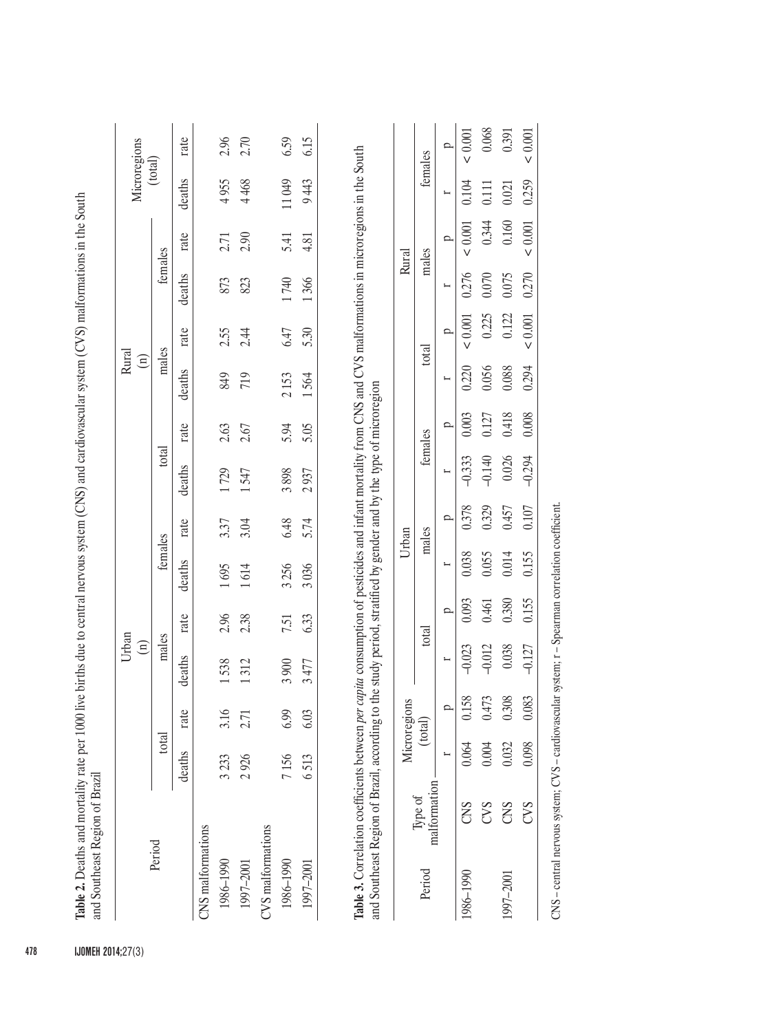| rate<br>2.90<br>2.71<br>5.41<br>4.81<br>females<br>deaths<br>1740<br>873<br>1366<br>823<br>6.47<br>rate<br>2.55<br>2.44<br>5.30<br>males<br>deaths<br>849<br>2153<br>719<br>1564<br>2.63<br>5.94<br>rate<br>2.67<br>5.05<br>total<br>deaths<br>1729<br>3898<br>937<br>1547<br>$\overline{\mathcal{C}}$<br>6.48<br>rate<br>3.37<br>3.04<br>5.74<br>females<br>deaths<br>3256<br>1695<br>3036<br>614<br>2.96<br>2.38<br>rate<br>6.33<br>7.51<br>males<br>deaths<br>1538<br>312<br>3900<br>477<br>$\infty$<br>rate<br>3.16<br>6.99<br>6.03<br>2.71<br>total<br>deaths<br>7156<br>2926<br>3233<br>6513<br>CVS malformations<br>CNS malformations<br>1986-1990<br>1986-1990<br>1997-2001<br>1997-2001 |           |     |          |                      | Urban<br>$\widehat{\Xi}$ |       |       |       |          |       | Rural<br>$\widehat{\Xi}$ |           |       |           |         | Microregions |
|--------------------------------------------------------------------------------------------------------------------------------------------------------------------------------------------------------------------------------------------------------------------------------------------------------------------------------------------------------------------------------------------------------------------------------------------------------------------------------------------------------------------------------------------------------------------------------------------------------------------------------------------------------------------------------------------------|-----------|-----|----------|----------------------|--------------------------|-------|-------|-------|----------|-------|--------------------------|-----------|-------|-----------|---------|--------------|
|                                                                                                                                                                                                                                                                                                                                                                                                                                                                                                                                                                                                                                                                                                  | Period    |     |          |                      |                          |       |       |       |          |       |                          |           |       |           | (total) |              |
|                                                                                                                                                                                                                                                                                                                                                                                                                                                                                                                                                                                                                                                                                                  |           |     |          |                      |                          |       |       |       |          |       |                          |           |       |           | deaths  | rate         |
|                                                                                                                                                                                                                                                                                                                                                                                                                                                                                                                                                                                                                                                                                                  |           |     |          |                      |                          |       |       |       |          |       |                          |           |       |           |         |              |
|                                                                                                                                                                                                                                                                                                                                                                                                                                                                                                                                                                                                                                                                                                  |           |     |          |                      |                          |       |       |       |          |       |                          |           |       |           | 4955    | 2.96         |
|                                                                                                                                                                                                                                                                                                                                                                                                                                                                                                                                                                                                                                                                                                  |           |     |          |                      |                          |       |       |       |          |       |                          |           |       |           | 4468    | 2.70         |
|                                                                                                                                                                                                                                                                                                                                                                                                                                                                                                                                                                                                                                                                                                  |           |     |          |                      |                          |       |       |       |          |       |                          |           |       |           |         |              |
|                                                                                                                                                                                                                                                                                                                                                                                                                                                                                                                                                                                                                                                                                                  |           |     |          |                      |                          |       |       |       |          |       |                          |           |       |           | 11049   | 6.59         |
|                                                                                                                                                                                                                                                                                                                                                                                                                                                                                                                                                                                                                                                                                                  |           |     |          |                      |                          |       |       |       |          |       |                          |           |       |           | 9443    | 6.15         |
|                                                                                                                                                                                                                                                                                                                                                                                                                                                                                                                                                                                                                                                                                                  |           |     |          |                      |                          |       |       |       |          |       |                          |           |       |           |         |              |
| Rural<br>Urban<br>Microregions                                                                                                                                                                                                                                                                                                                                                                                                                                                                                                                                                                                                                                                                   | Period    |     |          |                      |                          |       |       |       |          |       |                          |           |       |           |         | females      |
| males<br>total<br>females<br>males<br>total<br>(total)<br>Type of                                                                                                                                                                                                                                                                                                                                                                                                                                                                                                                                                                                                                                |           |     | $\vdash$ | p                    | ۰                        | p     | Ľ     | p     |          | p     | r                        | ρ         | r     | p         | Ľ       | p            |
| malformation                                                                                                                                                                                                                                                                                                                                                                                                                                                                                                                                                                                                                                                                                     | 1986-1990 | CNS | 0.064    | 158<br>$\dot{\circ}$ | $-0.023$                 |       | 0.038 | 0.378 | $-0.333$ | 0.003 | 0.220                    | $< 0.001$ | 0.276 | $< 0.001$ | 0.104   | $< 0.001$    |
| 0.093                                                                                                                                                                                                                                                                                                                                                                                                                                                                                                                                                                                                                                                                                            |           | CVS | 0.004    | 0.473                | $-0.012$                 | 0.461 | 0.055 | 0.329 | $-0.140$ | 0.127 | 0.056                    | 0.225     | 0.070 | 0.344     | 0.111   | 0.068        |

CNS - central nervous system; CVS - cardiovascular system; r - Spearman correlation coefficient. CNS – central nervous system; CVS – cardiovascular system; r – Spearman correlation coefficient.

1997–2001 CNS 0.032 0.308 0.038 0.380 0.014 0.457 0.026 0.418 0.088 0.122 0.075 0.160 0.021 0.391

0.014 0.457

0.380 0.155

0.038  $-0.127$ 

0.308 0.083

 $0.032$ 0.098

CNS  $CVS$ 

1997-2001

CO() 0.098 0.027 0.027 0.027 0.000 0.275 0.000 0.001 0.001 0.001 0.001 0.001 0.001 0.001 0.001 0.001 0.001 0.0

 $0.107$ 

0.155

 $< 0.001$ 0.391

0.259

 $< 0.001$ 

 $0.160$   $0.021$ 

 $0.075$ 0.270

0.122  $< 0.001$ 

0.088 0.294

0.418  $0.008$ 

 $0.026$  $-0.294$ 

478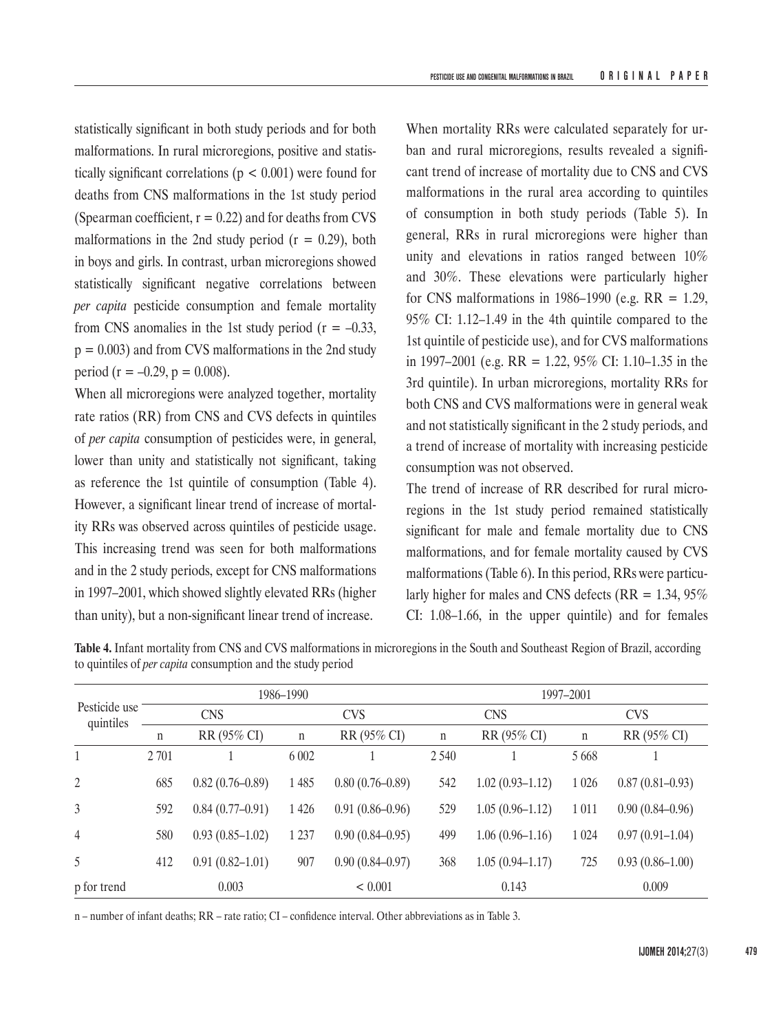statistically significant in both study periods and for both malformations. In rural microregions, positive and statistically significant correlations ( $p < 0.001$ ) were found for deaths from CNS malformations in the 1st study period (Spearman coefficient,  $r = 0.22$ ) and for deaths from CVS malformations in the 2nd study period  $(r = 0.29)$ , both in boys and girls. In contrast, urban microregions showed statistically significant negative correlations between *per capita* pesticide consumption and female mortality from CNS anomalies in the 1st study period ( $r = -0.33$ ,  $p = 0.003$ ) and from CVS malformations in the 2nd study period (r =  $-0.29$ , p = 0.008).

When all microregions were analyzed together, mortality rate ratios (RR) from CNS and CVS defects in quintiles of *per capita* consumption of pesticides were, in general, lower than unity and statistically not significant, taking as reference the 1st quintile of consumption (Table 4). However, a significant linear trend of increase of mortality RRs was observed across quintiles of pesticide usage. This increasing trend was seen for both malformations and in the 2 study periods, except for CNS malformations in 1997–2001, which showed slightly elevated RRs (higher than unity), but a non-significant linear trend of increase.

When mortality RRs were calculated separately for urban and rural microregions, results revealed a significant trend of increase of mortality due to CNS and CVS malformations in the rural area according to quintiles of consumption in both study periods (Table 5). In general, RRs in rural microregions were higher than unity and elevations in ratios ranged between 10% and 30%. These elevations were particularly higher for CNS malformations in 1986–1990 (e.g.  $RR = 1.29$ , 95% CI: 1.12–1.49 in the 4th quintile compared to the 1st quintile of pesticide use), and for CVS malformations in 1997–2001 (e.g. RR = 1.22, 95% CI: 1.10–1.35 in the 3rd quintile). In urban microregions, mortality RRs for both CNS and CVS malformations were in general weak and not statistically significant in the 2 study periods, and a trend of increase of mortality with increasing pesticide consumption was not observed.

The trend of increase of RR described for rural microregions in the 1st study period remained statistically significant for male and female mortality due to CNS malformations, and for female mortality caused by CVS malformations (Table 6). In this period, RRs were particularly higher for males and CNS defects ( $RR = 1.34, 95\%$ ) CI: 1.08–1.66, in the upper quintile) and for females

|                            |             |                     | 1986–1990   |                     |             |                     | 1997-2001   |                     |
|----------------------------|-------------|---------------------|-------------|---------------------|-------------|---------------------|-------------|---------------------|
| Pesticide use<br>quintiles |             | <b>CNS</b>          |             | <b>CVS</b>          |             | <b>CNS</b>          |             | <b>CVS</b>          |
|                            | $\mathbf n$ | RR (95% CI)         | $\mathbf n$ | RR (95% CI)         | $\mathbf n$ | RR (95% CI)         | $\mathbf n$ | RR (95% CI)         |
|                            | 2 7 0 1     |                     | 6 0 0 2     |                     | 2 5 4 0     |                     | 5 6 6 8     |                     |
| $\overline{2}$             | 685         | $0.82(0.76 - 0.89)$ | 1 4 8 5     | $0.80(0.76 - 0.89)$ | 542         | $1.02(0.93 - 1.12)$ | 1 0 2 6     | $0.87(0.81 - 0.93)$ |
| 3                          | 592         | $0.84(0.77-0.91)$   | 1 4 2 6     | $0.91(0.86 - 0.96)$ | 529         | $1.05(0.96 - 1.12)$ | 1 0 1 1     | $0.90(0.84 - 0.96)$ |
| 4                          | 580         | $0.93(0.85-1.02)$   | 1 2 3 7     | $0.90(0.84 - 0.95)$ | 499         | $1.06(0.96 - 1.16)$ | 1 0 24      | $0.97(0.91 - 1.04)$ |
| 5                          | 412         | $0.91(0.82 - 1.01)$ | 907         | $0.90(0.84 - 0.97)$ | 368         | $1.05(0.94 - 1.17)$ | 725         | $0.93(0.86 - 1.00)$ |
| p for trend                |             | 0.003               |             | < 0.001             |             | 0.143               |             | 0.009               |

**Table 4.** Infant mortality from CNS and CVS malformations in microregions in the South and Southeast Region of Brazil, according to quintiles of *per capita* consumption and the study period

n – number of infant deaths; RR – rate ratio; CI – confidence interval. Other abbreviations as in Table 3.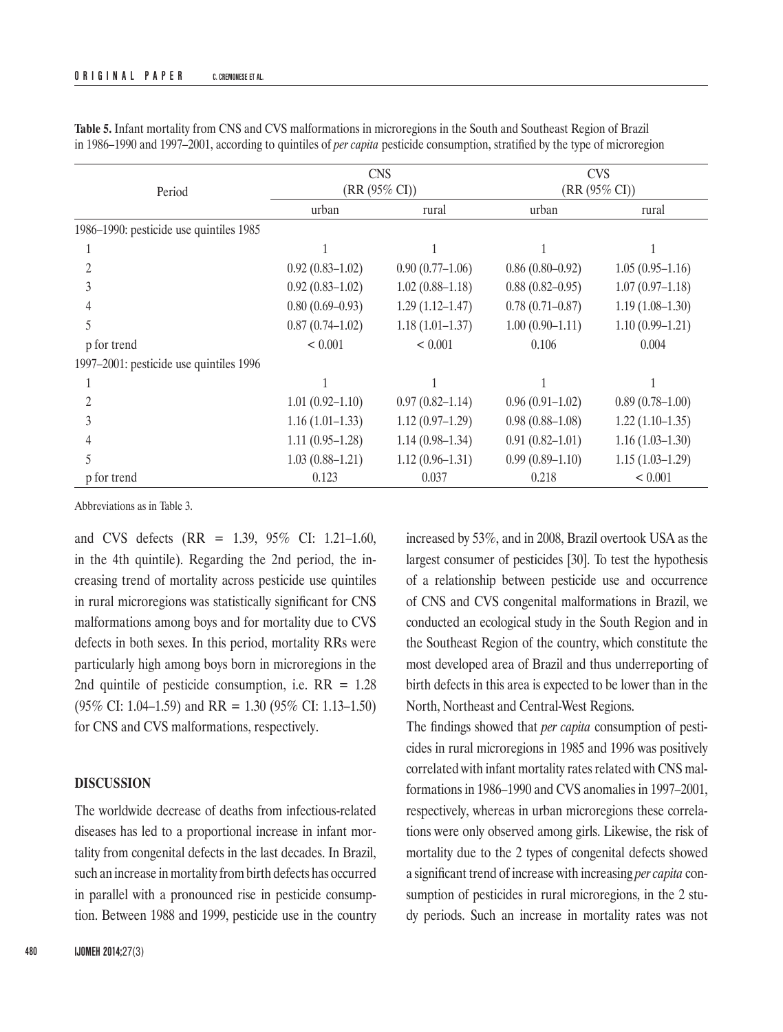|                                         |                     | <b>CNS</b>          |                     | <b>CVS</b>          |
|-----------------------------------------|---------------------|---------------------|---------------------|---------------------|
| Period                                  |                     | $(RR (95\% CI))$    |                     | $(RR (95\% CI))$    |
|                                         | urban               | rural               | urban               | rural               |
| 1986-1990: pesticide use quintiles 1985 |                     |                     |                     |                     |
|                                         |                     |                     |                     |                     |
|                                         | $0.92(0.83 - 1.02)$ | $0.90(0.77-1.06)$   | $0.86(0.80 - 0.92)$ | $1.05(0.95-1.16)$   |
|                                         | $0.92(0.83 - 1.02)$ | $1.02(0.88 - 1.18)$ | $0.88(0.82 - 0.95)$ | $1.07(0.97-1.18)$   |
|                                         | $0.80(0.69 - 0.93)$ | $1.29(1.12 - 1.47)$ | $0.78(0.71 - 0.87)$ | $1.19(1.08-1.30)$   |
|                                         | $0.87(0.74 - 1.02)$ | $1.18(1.01 - 1.37)$ | $1.00(0.90-1.11)$   | $1.10(0.99 - 1.21)$ |
| p for trend                             | < 0.001             | < 0.001             | 0.106               | 0.004               |
| 1997–2001: pesticide use quintiles 1996 |                     |                     |                     |                     |
|                                         |                     |                     |                     |                     |
|                                         | $1.01(0.92 - 1.10)$ | $0.97(0.82 - 1.14)$ | $0.96(0.91-1.02)$   | $0.89(0.78-1.00)$   |
|                                         | $1.16(1.01-1.33)$   | $1.12(0.97-1.29)$   | $0.98(0.88-1.08)$   | $1.22(1.10-1.35)$   |
|                                         | $1.11(0.95-1.28)$   | $1.14(0.98-1.34)$   | $0.91(0.82 - 1.01)$ | $1.16(1.03-1.30)$   |
|                                         | $1.03(0.88 - 1.21)$ | $1.12(0.96 - 1.31)$ | $0.99(0.89-1.10)$   | $1.15(1.03-1.29)$   |
| p for trend                             | 0.123               | 0.037               | 0.218               | < 0.001             |

**Table 5.** Infant mortality from CNS and CVS malformations in microregions in the South and Southeast Region of Brazil in 1986–1990 and 1997–2001, according to quintiles of *per capita* pesticide consumption, stratified by the type of microregion

Abbreviations as in Table 3.

and CVS defects (RR = 1.39, 95% CI: 1.21–1.60, in the 4th quintile). Regarding the 2nd period, the increasing trend of mortality across pesticide use quintiles in rural microregions was statistically significant for CNS malformations among boys and for mortality due to CVS defects in both sexes. In this period, mortality RRs were particularly high among boys born in microregions in the 2nd quintile of pesticide consumption, i.e.  $RR = 1.28$  $(95\% \text{ CI: } 1.04{\text{-}}1.59)$  and RR = 1.30  $(95\% \text{ CI: } 1.13{\text{-}}1.50)$ for CNS and CVS malformations, respectively.

## **DISCUSSION**

The worldwide decrease of deaths from infectious-related diseases has led to a proportional increase in infant mortality from congenital defects in the last decades. In Brazil, such an increase in mortality from birth defects has occurred in parallel with a pronounced rise in pesticide consumption. Between 1988 and 1999, pesticide use in the country

increased by 53%, and in 2008, Brazil overtook USA as the largest consumer of pesticides [30]. To test the hypothesis of a relationship between pesticide use and occurrence of CNS and CVS congenital malformations in Brazil, we conducted an ecological study in the South Region and in the Southeast Region of the country, which constitute the most developed area of Brazil and thus underreporting of birth defects in this area is expected to be lower than in the North, Northeast and Central-West Regions.

The findings showed that *per capita* consumption of pesticides in rural microregions in 1985 and 1996 was positively correlated with infant mortality rates related with CNS malformations in 1986–1990 and CVS anomalies in 1997–2001, respectively, whereas in urban microregions these correlations were only observed among girls. Likewise, the risk of mortality due to the 2 types of congenital defects showed a significant trend of increase with increasing *per capita* consumption of pesticides in rural microregions, in the 2 study periods. Such an increase in mortality rates was not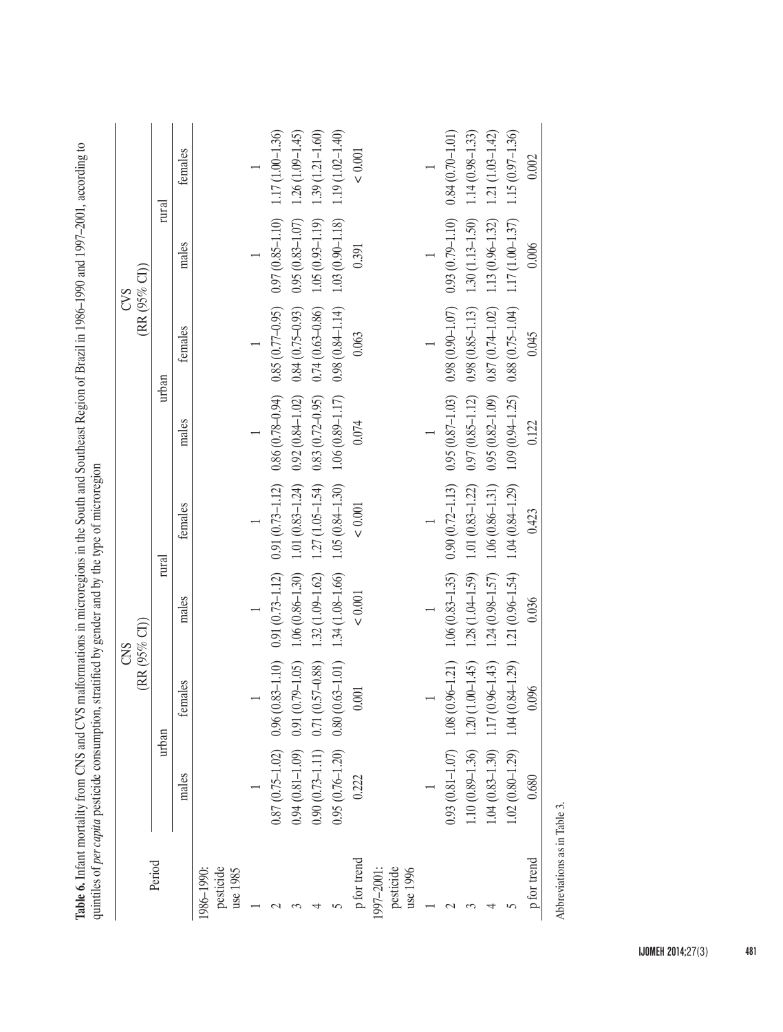|                                    |                     | (RR(95% CI)            | CNS                 |                             |                             |                     | (RR (95% CI))<br>CVS |                     |
|------------------------------------|---------------------|------------------------|---------------------|-----------------------------|-----------------------------|---------------------|----------------------|---------------------|
| Period                             |                     | urban                  | rural               |                             |                             | urban               | rural                |                     |
|                                    | males               | females                | males               | females                     | males                       | females             | males                | females             |
| pesticide<br>use 1985<br>1986-1990 |                     |                        |                     |                             |                             |                     |                      |                     |
|                                    |                     |                        |                     |                             |                             |                     |                      |                     |
|                                    | $0.87(0.75 - 1.02)$ | $0.96(0.83 - 1.10)$    | $0.91(0.73 - 1.12)$ | $0.91(0.73 - 1.12)$         | $0.86(0.78 - 0.94)$         | $0.85(0.77-0.95)$   | $0.97(0.85 - 1.10)$  | $1.17(1.00-1.36)$   |
|                                    | $0.94(0.81 - 1.09)$ | $0.91(0.79 - 1.05)$    | $1.06(0.86 - 1.30)$ | $1.01(0.83 - 1.24)$         | $0.92(0.84 - 1.02)$         | $0.84(0.75-0.93)$   | $0.95(0.83 - 1.07)$  | $1.26(1.09 - 1.45)$ |
|                                    | $0.90(0.73 - 1.11)$ | $0.71(0.57 - 0.88)$    | $1.32(1.09 - 1.62)$ | $1.27(1.05 - 1.54)$         | $0.83(0.72 - 0.95)$         | $0.74(0.63 - 0.86)$ | $1.05(0.93 - 1.19)$  | $1.39(1.21-1.60)$   |
|                                    | $0.95(0.76 - 1.20)$ | $0.63 - 1.01$<br>0.80( | 1.34 (1.08-1.66)    | $1.05(0.84 - 1.30)$         | $1.06\ (0.89\hbox{--}1.17)$ | $0.98(0.84 - 1.14)$ | $1.03(0.90 - 1.18)$  | $1.19(1.02 - 1.40)$ |
| p for trend                        | 0.222               | $0.001\,$              | $< 0.001$           | $< 0.001$                   | 0.074                       | 0.063               | 0.391                | $<0.001$            |
| pesticide<br>use 1996<br>997-2001: |                     |                        |                     |                             |                             |                     |                      |                     |
|                                    |                     |                        |                     |                             |                             |                     |                      |                     |
|                                    | $0.93(0.81 - 1.07)$ | $1.08(0.96 - 1.21)$    | $1.06(0.83 - 1.35)$ | $0.90(0.72 - 1.13)$         | $0.95(0.87 - 1.03)$         | $0.98(0.90 - 1.07)$ | $0.93(0.79 - 1.10)$  | $0.84(0.70 - 1.01)$ |
|                                    | $1.10(0.89 - 1.36)$ | $1.20(1.00-1.45)$      | $1.28(1.04 - 1.59)$ | $1.01(0.83 - 1.22)$         | $0.97(0.85 - 1.12)$         | $0.98(0.85 - 1.13)$ | $1.30(1.13 - 1.50)$  | $1.14(0.98-1.33)$   |
|                                    | $1.04(0.83 - 1.30)$ | $1.17(0.96 - 1.43)$    | 1.24 (0.98-1.57)    | $1.06(0.86 - 1.31)$         | $0.95(0.82 - 1.09)$         | $0.87(0.74 - 1.02)$ | $1.13(0.96 - 1.32)$  | $1.21(1.03 - 1.42)$ |
|                                    | $1.02(0.80-1.29)$   | $0.84 - 1.29$<br>1.04( | $1.21(0.96 - 1.54)$ | $1.04\ (0.84\hbox{--}1.29)$ | $1.09(0.94 - 1.25)$         | $0.88(0.75 - 1.04)$ | $1.17(1.00 - 1.37)$  | $1.15(0.97 - 1.36)$ |
| p for trend                        | 0.680               | 0.096                  | 0.036               | 0.423                       | 0.122                       | 0.045               | 0.006                | 0.002               |

Table 6. Infant mortality from CNS and CVS malformations in microregions in the South and Southeast Region of Brazil in 1986-1990 and 1997-2001, according to<br>quintiles of per capita pesticide consumption, stratified by gen **Table 6.** Infant mortality from CNS and CVS malformations in microregions in the South and Southeast Region of Brazil in 1986–1990 and 1997–2001, according to quintiles of *per capita* pesticide consumption, stratified by gender and by the type of microregion

Abbreviations as in Table 3.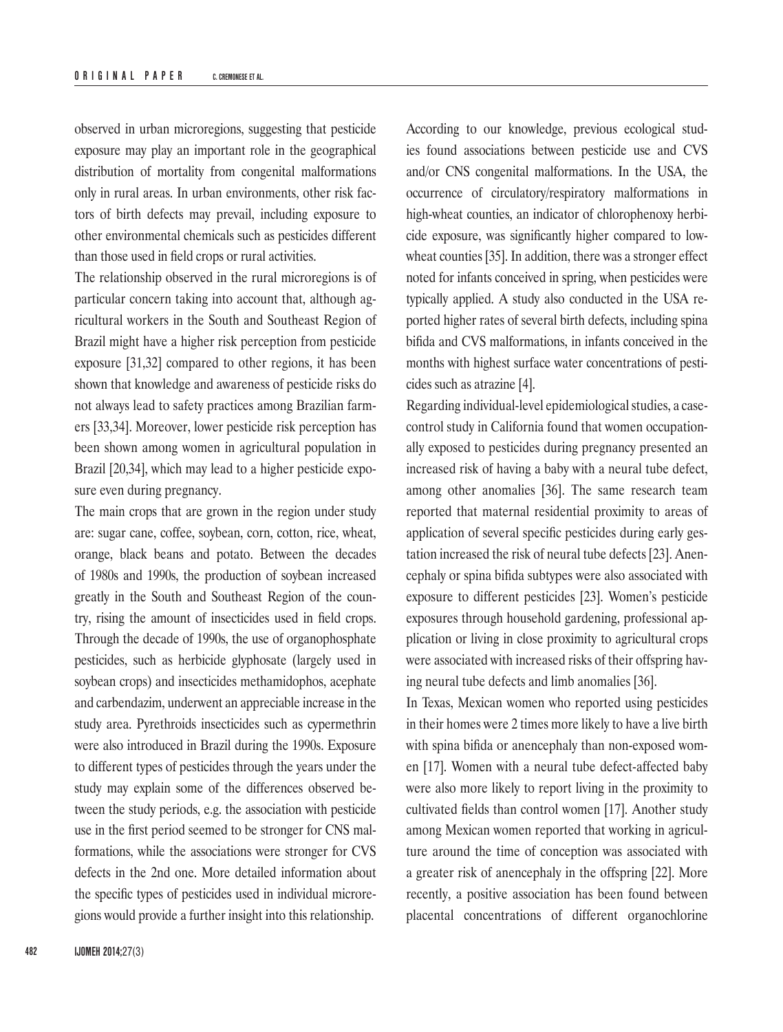observed in urban microregions, suggesting that pesticide exposure may play an important role in the geographical distribution of mortality from congenital malformations only in rural areas. In urban environments, other risk factors of birth defects may prevail, including exposure to other environmental chemicals such as pesticides different than those used in field crops or rural activities.

The relationship observed in the rural microregions is of particular concern taking into account that, although agricultural workers in the South and Southeast Region of Brazil might have a higher risk perception from pesticide exposure [31,32] compared to other regions, it has been shown that knowledge and awareness of pesticide risks do not always lead to safety practices among Brazilian farmers [33,34]. Moreover, lower pesticide risk perception has been shown among women in agricultural population in Brazil [20,34], which may lead to a higher pesticide exposure even during pregnancy.

The main crops that are grown in the region under study are: sugar cane, coffee, soybean, corn, cotton, rice, wheat, orange, black beans and potato. Between the decades of 1980s and 1990s, the production of soybean increased greatly in the South and Southeast Region of the country, rising the amount of insecticides used in field crops. Through the decade of 1990s, the use of organophosphate pesticides, such as herbicide glyphosate (largely used in soybean crops) and insecticides methamidophos, acephate and carbendazim, underwent an appreciable increase in the study area. Pyrethroids insecticides such as cypermethrin were also introduced in Brazil during the 1990s. Exposure to different types of pesticides through the years under the study may explain some of the differences observed between the study periods, e.g. the association with pesticide use in the first period seemed to be stronger for CNS malformations, while the associations were stronger for CVS defects in the 2nd one. More detailed information about the specific types of pesticides used in individual microregions would provide a further insight into this relationship.

According to our knowledge, previous ecological studies found associations between pesticide use and CVS and/or CNS congenital malformations. In the USA, the occurrence of circulatory/respiratory malformations in high-wheat counties, an indicator of chlorophenoxy herbicide exposure, was significantly higher compared to lowwheat counties [35]. In addition, there was a stronger effect noted for infants conceived in spring, when pesticides were typically applied. A study also conducted in the USA reported higher rates of several birth defects, including spina bifida and CVS malformations, in infants conceived in the months with highest surface water concentrations of pesticides such as atrazine [4].

Regarding individual-level epidemiological studies, a casecontrol study in California found that women occupationally exposed to pesticides during pregnancy presented an increased risk of having a baby with a neural tube defect, among other anomalies [36]. The same research team reported that maternal residential proximity to areas of application of several specific pesticides during early gestation increased the risk of neural tube defects [23]. Anencephaly or spina bifida subtypes were also associated with exposure to different pesticides [23]. Women's pesticide exposures through household gardening, professional application or living in close proximity to agricultural crops were associated with increased risks of their offspring having neural tube defects and limb anomalies [36].

In Texas, Mexican women who reported using pesticides in their homes were 2 times more likely to have a live birth with spina bifida or anencephaly than non-exposed women [17]. Women with a neural tube defect-affected baby were also more likely to report living in the proximity to cultivated fields than control women [17]. Another study among Mexican women reported that working in agriculture around the time of conception was associated with a greater risk of anencephaly in the offspring [22]. More recently, a positive association has been found between placental concentrations of different organochlorine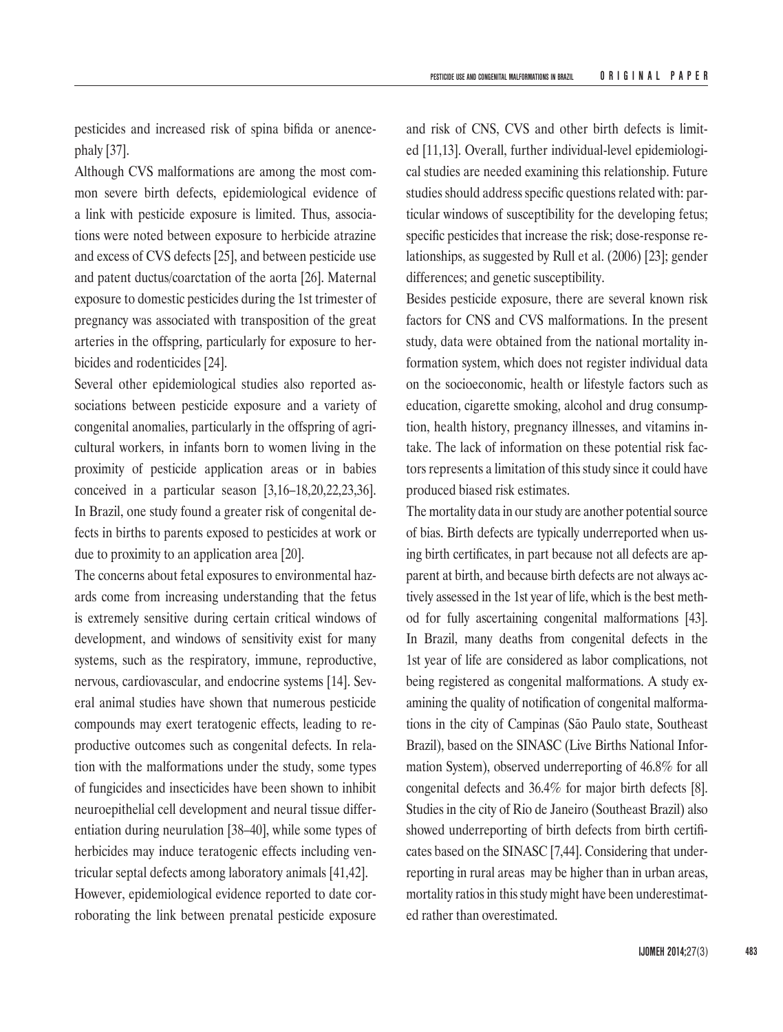pesticides and increased risk of spina bifida or anencephaly [37].

Although CVS malformations are among the most common severe birth defects, epidemiological evidence of a link with pesticide exposure is limited. Thus, associations were noted between exposure to herbicide atrazine and excess of CVS defects [25], and between pesticide use and patent ductus/coarctation of the aorta [26]. Maternal exposure to domestic pesticides during the 1st trimester of pregnancy was associated with transposition of the great arteries in the offspring, particularly for exposure to herbicides and rodenticides [24].

Several other epidemiological studies also reported associations between pesticide exposure and a variety of congenital anomalies, particularly in the offspring of agricultural workers, in infants born to women living in the proximity of pesticide application areas or in babies conceived in a particular season [3,16–18,20,22,23,36]. In Brazil, one study found a greater risk of congenital defects in births to parents exposed to pesticides at work or due to proximity to an application area [20].

The concerns about fetal exposures to environmental hazards come from increasing understanding that the fetus is extremely sensitive during certain critical windows of development, and windows of sensitivity exist for many systems, such as the respiratory, immune, reproductive, nervous, cardiovascular, and endocrine systems [14]. Several animal studies have shown that numerous pesticide compounds may exert teratogenic effects, leading to reproductive outcomes such as congenital defects. In relation with the malformations under the study, some types of fungicides and insecticides have been shown to inhibit neuroepithelial cell development and neural tissue differentiation during neurulation [38–40], while some types of herbicides may induce teratogenic effects including ventricular septal defects among laboratory animals [41,42]. However, epidemiological evidence reported to date corroborating the link between prenatal pesticide exposure

and risk of CNS, CVS and other birth defects is limited [11,13]. Overall, further individual-level epidemiological studies are needed examining this relationship. Future studies should address specific questions related with: particular windows of susceptibility for the developing fetus; specific pesticides that increase the risk; dose-response relationships, as suggested by Rull et al. (2006) [23]; gender differences; and genetic susceptibility.

Besides pesticide exposure, there are several known risk factors for CNS and CVS malformations. In the present study, data were obtained from the national mortality information system, which does not register individual data on the socioeconomic, health or lifestyle factors such as education, cigarette smoking, alcohol and drug consumption, health history, pregnancy illnesses, and vitamins intake. The lack of information on these potential risk factors represents a limitation of this study since it could have produced biased risk estimates.

The mortality data in our study are another potential source of bias. Birth defects are typically underreported when using birth certificates, in part because not all defects are apparent at birth, and because birth defects are not always actively assessed in the 1st year of life, which is the best method for fully ascertaining congenital malformations [43]. In Brazil, many deaths from congenital defects in the 1st year of life are considered as labor complications, not being registered as congenital malformations. A study examining the quality of notification of congenital malformations in the city of Campinas (São Paulo state, Southeast Brazil), based on the SINASC (Live Births National Information System), observed underreporting of 46.8% for all congenital defects and 36.4% for major birth defects [8]. Studies in the city of Rio de Janeiro (Southeast Brazil) also showed underreporting of birth defects from birth certificates based on the SINASC [7,44]. Considering that underreporting in rural areas may be higher than in urban areas, mortality ratios in this study might have been underestimated rather than overestimated.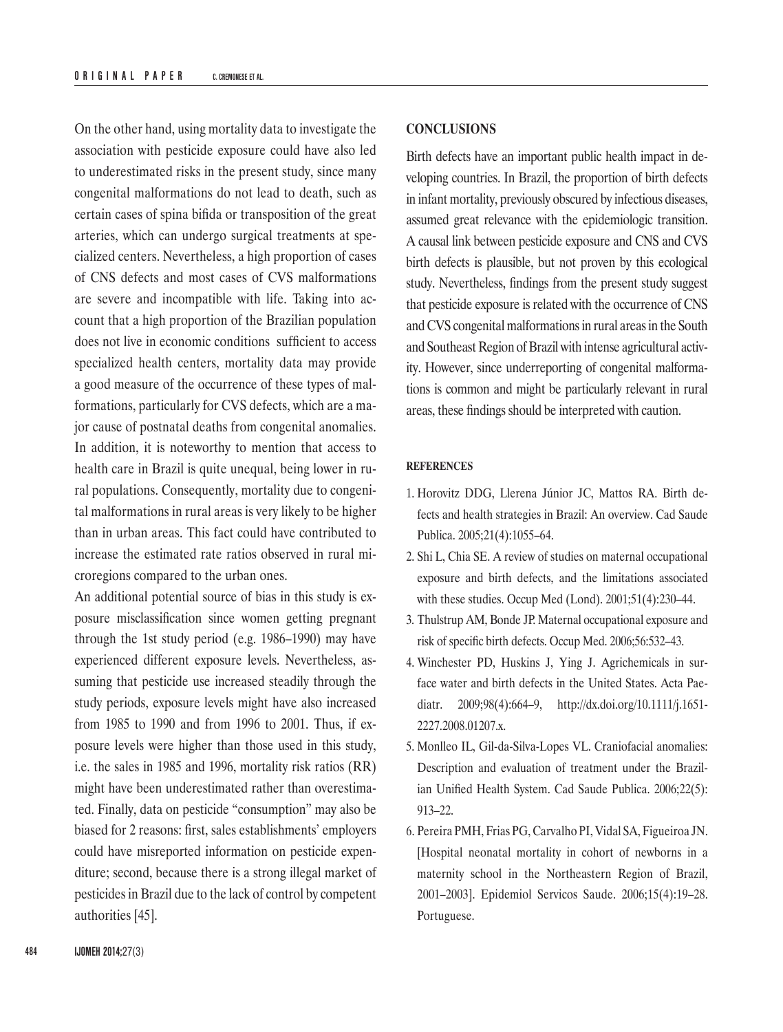On the other hand, using mortality data to investigate the association with pesticide exposure could have also led to underestimated risks in the present study, since many congenital malformations do not lead to death, such as certain cases of spina bifida or transposition of the great arteries, which can undergo surgical treatments at specialized centers. Nevertheless, a high proportion of cases of CNS defects and most cases of CVS malformations are severe and incompatible with life. Taking into account that a high proportion of the Brazilian population does not live in economic conditions sufficient to access specialized health centers, mortality data may provide a good measure of the occurrence of these types of malformations, particularly for CVS defects, which are a major cause of postnatal deaths from congenital anomalies. In addition, it is noteworthy to mention that access to health care in Brazil is quite unequal, being lower in rural populations. Consequently, mortality due to congenital malformations in rural areas is very likely to be higher than in urban areas. This fact could have contributed to increase the estimated rate ratios observed in rural microregions compared to the urban ones.

An additional potential source of bias in this study is exposure misclassification since women getting pregnant through the 1st study period (e.g. 1986–1990) may have experienced different exposure levels. Nevertheless, assuming that pesticide use increased steadily through the study periods, exposure levels might have also increased from 1985 to 1990 and from 1996 to 2001. Thus, if exposure levels were higher than those used in this study, i.e. the sales in 1985 and 1996, mortality risk ratios (RR) might have been underestimated rather than overestimated. Finally, data on pesticide "consumption" may also be biased for 2 reasons: first, sales establishments' employers could have misreported information on pesticide expenditure; second, because there is a strong illegal market of pesticides in Brazil due to the lack of control by competent authorities [45].

## **CONCLUSIONS**

Birth defects have an important public health impact in developing countries. In Brazil, the proportion of birth defects in infant mortality, previously obscured by infectious diseases, assumed great relevance with the epidemiologic transition. A causal link between pesticide exposure and CNS and CVS birth defects is plausible, but not proven by this ecological study. Nevertheless, findings from the present study suggest that pesticide exposure is related with the occurrence of CNS and CVS congenital malformations in rural areas in the South and Southeast Region of Brazil with intense agricultural activity. However, since underreporting of congenital malformations is common and might be particularly relevant in rural areas, these findings should be interpreted with caution.

## **REFERENCES**

- 1. Horovitz DDG, Llerena Júnior JC, Mattos RA. Birth defects and health strategies in Brazil: An overview. Cad Saude Publica. 2005;21(4):1055–64.
- 2. Shi L, Chia SE. A review of studies on maternal occupational exposure and birth defects, and the limitations associated with these studies. Occup Med (Lond). 2001;51(4):230–44.
- 3. Thulstrup AM, Bonde JP. Maternal occupational exposure and risk of specific birth defects. Occup Med. 2006;56:532–43.
- 4. Winchester PD, Huskins J, Ying J. Agrichemicals in surface water and birth defects in the United States. Acta Paediatr. 2009;98(4):664–9, [http://dx.doi.org/10.1111/j.1651-](http://dx.doi.org/10.1111/j.1651-2227.2008.01207.x) [2227.2008.01207.x.](http://dx.doi.org/10.1111/j.1651-2227.2008.01207.x)
- 5. Monlleo IL, Gil-da-Silva-Lopes VL. Craniofacial anomalies: Description and evaluation of treatment under the Brazilian Unified Health System. Cad Saude Publica. 2006;22(5): 913–22.
- 6. Pereira PMH, Frias PG, Carvalho PI, Vidal SA, Figueiroa JN. [Hospital neonatal mortality in cohort of newborns in a maternity school in the Northeastern Region of Brazil, 2001–2003]. Epidemiol Servicos Saude. 2006;15(4):19–28. Portuguese.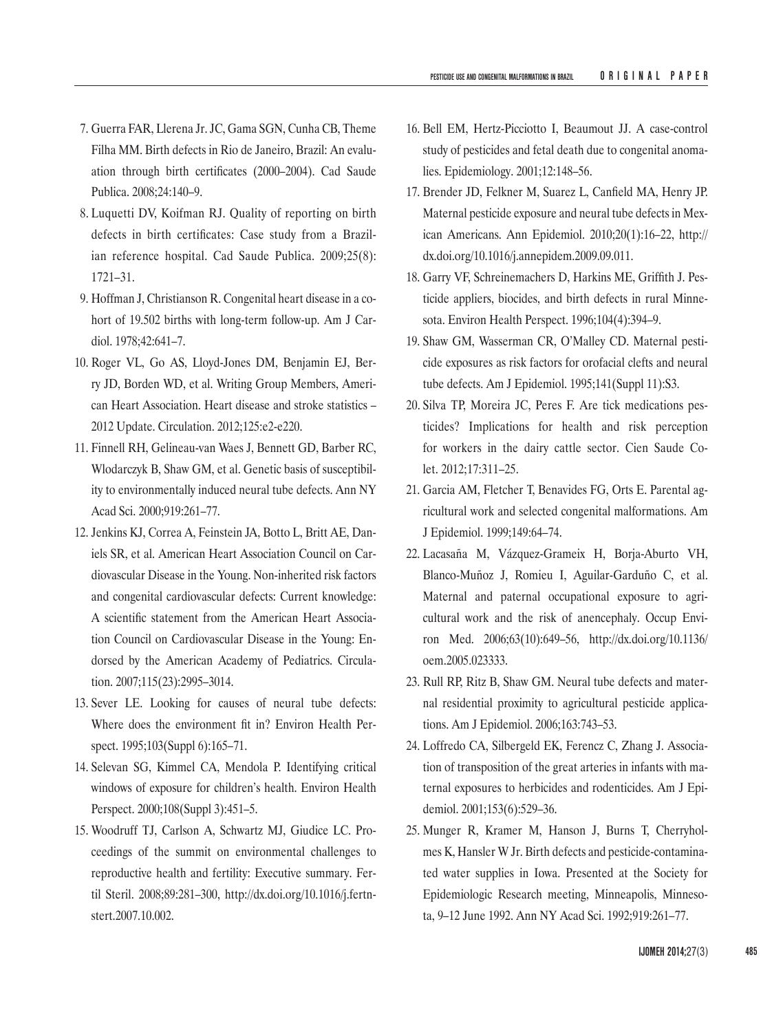- 7. Guerra FAR, Llerena Jr. JC, Gama SGN, Cunha CB, Theme Filha MM. Birth defects in Rio de Janeiro, Brazil: An evaluation through birth certificates (2000–2004). Cad Saude Publica. 2008;24:140–9.
- 8. Luquetti DV, Koifman RJ. Quality of reporting on birth defects in birth certificates: Case study from a Brazilian reference hospital. Cad Saude Publica. 2009;25(8): 1721–31.
- 9. Hoffman J, Christianson R. Congenital heart disease in a cohort of 19.502 births with long-term follow-up. Am J Cardiol. 1978;42:641–7.
- 10. Roger VL, Go AS, Lloyd-Jones DM, Benjamin EJ, Berry JD, Borden WD, et al. Writing Group Members, American Heart Association. Heart disease and stroke statistics – 2012 Update. Circulation. 2012;125:e2-e220.
- 11. Finnell RH, Gelineau-van Waes J, Bennett GD, Barber RC, Wlodarczyk B, Shaw GM, et al. Genetic basis of susceptibility to environmentally induced neural tube defects. Ann NY Acad Sci. 2000;919:261–77.
- 12. Jenkins KJ, Correa A, Feinstein JA, Botto L, Britt AE, Daniels SR, et al. American Heart Association Council on Cardiovascular Disease in the Young. Non-inherited risk factors and congenital cardiovascular defects: Current knowledge: A scientific statement from the American Heart Association Council on Cardiovascular Disease in the Young: Endorsed by the American Academy of Pediatrics. Circulation. 2007;115(23):2995–3014.
- 13. Sever LE. Looking for causes of neural tube defects: Where does the environment fit in? Environ Health Perspect. 1995;103(Suppl 6):165–71.
- 14. Selevan SG, Kimmel CA, Mendola P. Identifying critical windows of exposure for children's health. Environ Health Perspect. 2000;108(Suppl 3):451–5.
- 15. Woodruff TJ, Carlson A, Schwartz MJ, Giudice LC. Proceedings of the summit on environmental challenges to reproductive health and fertility: Executive summary. Fertil Steril. 2008;89:281–300, [http://dx.doi.org/10.1016/j.fertn](http://dx.doi.org/10.1016/j.fertnstert.2007.10.002)[stert.2007.10.002](http://dx.doi.org/10.1016/j.fertnstert.2007.10.002).
- 16. Bell EM, Hertz-Picciotto I, Beaumout JJ. A case-control study of pesticides and fetal death due to congenital anomalies. Epidemiology. 2001;12:148–56.
- 17. Brender JD, Felkner M, Suarez L, Canfield MA, Henry JP. Maternal pesticide exposure and neural tube defects in Mexican Americans. Ann Epidemiol. 2010;20(1):16–22, [http://](http://dx.doi.org/10.1016/j.annepidem.2009.09.011) [dx.doi.org/10.1016/j.annepidem.2009.09.011.](http://dx.doi.org/10.1016/j.annepidem.2009.09.011)
- 18. Garry VF, Schreinemachers D, Harkins ME, Griffith J. Pesticide appliers, biocides, and birth defects in rural Minnesota. Environ Health Perspect. 1996;104(4):394–9.
- 19. Shaw GM, Wasserman CR, O'Malley CD. Maternal pesticide exposures as risk factors for orofacial clefts and neural tube defects. Am J Epidemiol. 1995;141(Suppl 11):S3.
- 20. Silva TP, Moreira JC, Peres F. Are tick medications pesticides? Implications for health and risk perception for workers in the dairy cattle sector. Cien Saude Colet. 2012;17:311–25.
- 21. Garcia AM, Fletcher T, Benavides FG, Orts E. Parental agricultural work and selected congenital malformations. Am J Epidemiol. 1999;149:64–74.
- 22. Lacasaña M, Vázquez-Grameix H, Borja-Aburto VH, Blanco-Muñoz J, Romieu I, Aguilar-Garduño C, et al. Maternal and paternal occupational exposure to agricultural work and the risk of anencephaly. Occup Environ Med. 2006;63(10):649–56, [http://dx.doi.org/10.1136/](http://dx.doi.org/10.1136/oem.2005.023333) [oem.2005.023333](http://dx.doi.org/10.1136/oem.2005.023333).
- 23. Rull RP, Ritz B, Shaw GM. Neural tube defects and maternal residential proximity to agricultural pesticide applications. Am J Epidemiol. 2006;163:743–53.
- 24. Loffredo CA, Silbergeld EK, Ferencz C, Zhang J. Association of transposition of the great arteries in infants with maternal exposures to herbicides and rodenticides. Am J Epidemiol. 2001;153(6):529–36.
- 25. Munger R, Kramer M, Hanson J, Burns T, Cherryholmes K, Hansler W Jr. Birth defects and pesticide-contaminated water supplies in Iowa. Presented at the Society for Epidemiologic Research meeting, Minneapolis, Minnesota, 9–12 June 1992. Ann NY Acad Sci. 1992;919:261–77.